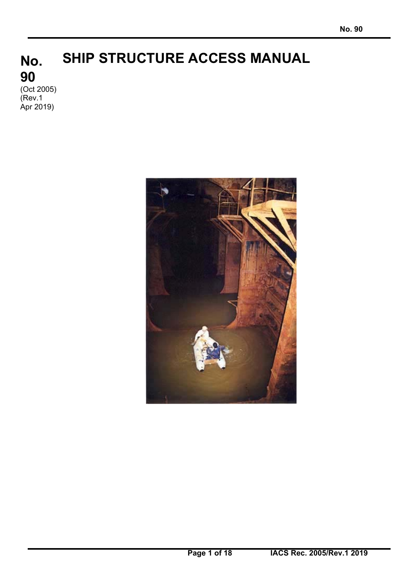# **No. 90 SHIP STRUCTURE ACCESS MANUAL**

(Oct 2005) (Rev.1 Apr 2019)

 $\overline{a}$ 

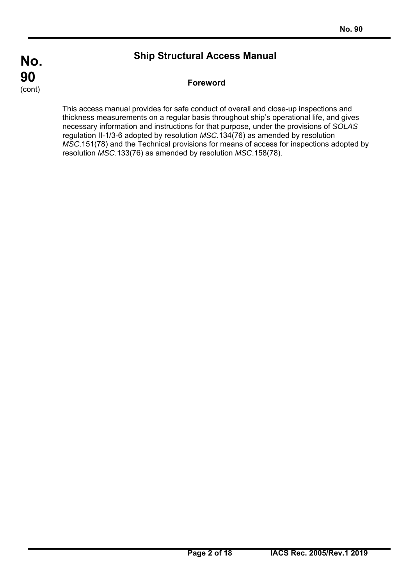$\overline{a}$ 

# **Ship Structural Access Manual**

# **Foreword**

This access manual provides for safe conduct of overall and close-up inspections and thickness measurements on a regular basis throughout ship's operational life, and gives necessary information and instructions for that purpose, under the provisions of *SOLAS* regulation II-1/3-6 adopted by resolution *MSC*.134(76) as amended by resolution *MSC*.151(78) and the Technical provisions for means of access for inspections adopted by resolution *MSC*.133(76) as amended by resolution *MSC*.158(78).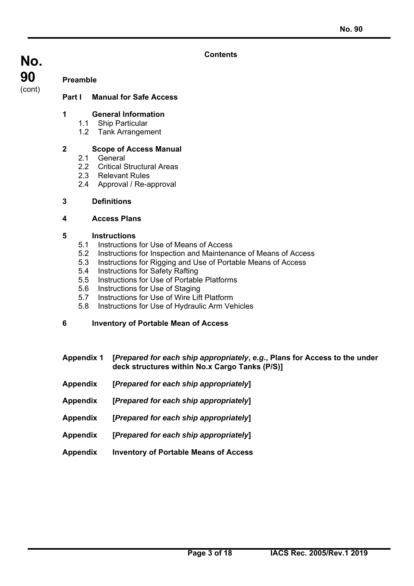#### **Contents**

**No. 90**  (cont)

#### **Preamble**

#### **Part I Manual for Safe Access**

#### **1 General Information**

- 1.1 Ship Particular
- 1.2 Tank Arrangement

#### **2 Scope of Access Manual**

- 2.1 General
- 2.2 Critical Structural Areas
- 2.3 Relevant Rules
- 2.4 Approval / Re-approval
- **3 Definitions**

#### **4 Access Plans**

#### **5 Instructions**

 $\overline{a}$ 

- 5.1 Instructions for Use of Means of Access
- 5.2 Instructions for Inspection and Maintenance of Means of Access
- 5.3 Instructions for Rigging and Use of Portable Means of Access
- 5.4 Instructions for Safety Rafting
- 5.5 Instructions for Use of Portable Platforms
- 5.6 Instructions for Use of Staging
- 5.7 Instructions for Use of Wire Lift Platform
- 5.8 Instructions for Use of Hydraulic Arm Vehicles

#### **6 Inventory of Portable Mean of Access**

- **Appendix 1 [***Prepared for each ship appropriately***,** *e.g.***, Plans for Access to the under deck structures within No.x Cargo Tanks (P/S)]**
- **Appendix [***Prepared for each ship appropriately***]**
- **Appendix [***Prepared for each ship appropriately***]**
- **Appendix [***Prepared for each ship appropriately***]**
- **Appendix [***Prepared for each ship appropriately***]**
- **Appendix Inventory of Portable Means of Access**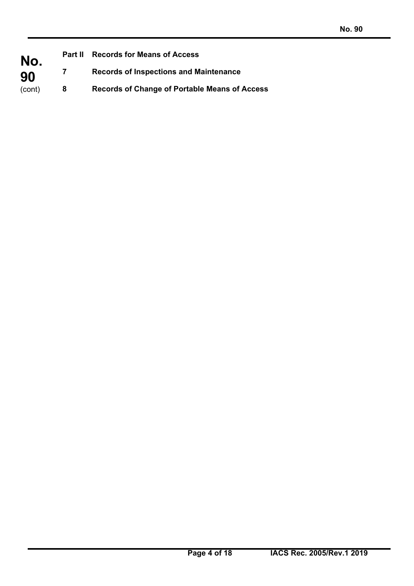| No.<br>90 | <b>Records for Means of Access</b><br><b>Part II</b> |                                                      |  |  |
|-----------|------------------------------------------------------|------------------------------------------------------|--|--|
|           | 7                                                    | <b>Records of Inspections and Maintenance</b>        |  |  |
| (cont)    | 8                                                    | <b>Records of Change of Portable Means of Access</b> |  |  |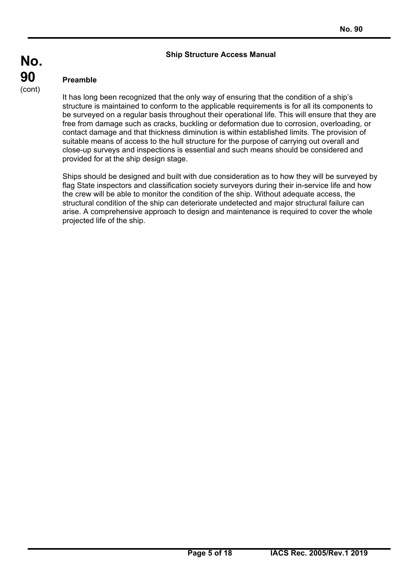#### **Ship Structure Access Manual**

#### **Preamble**

 $\overline{a}$ 

It has long been recognized that the only way of ensuring that the condition of a ship's structure is maintained to conform to the applicable requirements is for all its components to be surveyed on a regular basis throughout their operational life. This will ensure that they are free from damage such as cracks, buckling or deformation due to corrosion, overloading, or contact damage and that thickness diminution is within established limits. The provision of suitable means of access to the hull structure for the purpose of carrying out overall and close-up surveys and inspections is essential and such means should be considered and provided for at the ship design stage.

Ships should be designed and built with due consideration as to how they will be surveyed by flag State inspectors and classification society surveyors during their in-service life and how the crew will be able to monitor the condition of the ship. Without adequate access, the structural condition of the ship can deteriorate undetected and major structural failure can arise. A comprehensive approach to design and maintenance is required to cover the whole projected life of the ship.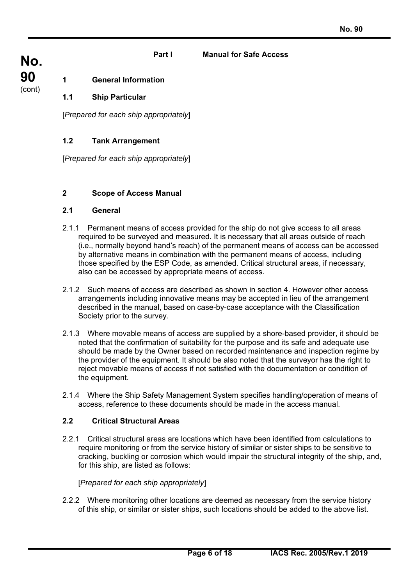#### **Part I Manual for Safe Access**

**No. 90**  (cont)

# **1 General Information**

#### **1.1 Ship Particular**

[*Prepared for each ship appropriately*]

#### **1.2 Tank Arrangement**

[*Prepared for each ship appropriately*]

#### **2 Scope of Access Manual**

#### **2.1 General**

- 2.1.1 Permanent means of access provided for the ship do not give access to all areas required to be surveyed and measured. It is necessary that all areas outside of reach (i.e., normally beyond hand's reach) of the permanent means of access can be accessed by alternative means in combination with the permanent means of access, including those specified by the ESP Code, as amended. Critical structural areas, if necessary, also can be accessed by appropriate means of access.
- 2.1.2 Such means of access are described as shown in section 4. However other access arrangements including innovative means may be accepted in lieu of the arrangement described in the manual, based on case-by-case acceptance with the Classification Society prior to the survey.
- 2.1.3 Where movable means of access are supplied by a shore-based provider, it should be noted that the confirmation of suitability for the purpose and its safe and adequate use should be made by the Owner based on recorded maintenance and inspection regime by the provider of the equipment. It should be also noted that the surveyor has the right to reject movable means of access if not satisfied with the documentation or condition of the equipment.
- 2.1.4 Where the Ship Safety Management System specifies handling/operation of means of access, reference to these documents should be made in the access manual.

#### **2.2 Critical Structural Areas**

 $\overline{a}$ 

2.2.1 Critical structural areas are locations which have been identified from calculations to require monitoring or from the service history of similar or sister ships to be sensitive to cracking, buckling or corrosion which would impair the structural integrity of the ship, and, for this ship, are listed as follows:

#### [*Prepared for each ship appropriately*]

2.2.2 Where monitoring other locations are deemed as necessary from the service history of this ship, or similar or sister ships, such locations should be added to the above list.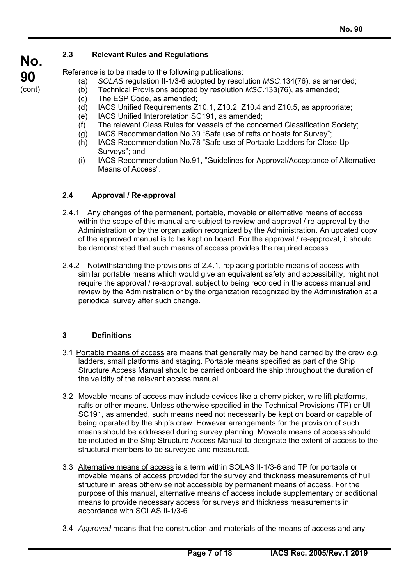# **2.3 Relevant Rules and Regulations**

Reference is to be made to the following publications:

- (a) *SOLAS* regulation II-1/3-6 adopted by resolution *MSC*.134(76), as amended;
- (b) Technical Provisions adopted by resolution *MSC*.133(76), as amended;
- (c) The ESP Code, as amended;
- (d) IACS Unified Requirements Z10.1, Z10.2, Z10.4 and Z10.5, as appropriate;
- (e) IACS Unified Interpretation SC191, as amended;
- (f) The relevant Class Rules for Vessels of the concerned Classification Society;
- (g) IACS Recommendation No.39 "Safe use of rafts or boats for Survey";
- (h) IACS Recommendation No.78 "Safe use of Portable Ladders for Close-Up Surveys"; and
- (i) IACS Recommendation No.91, "Guidelines for Approval/Acceptance of Alternative Means of Access".

# **2.4 Approval / Re-approval**

- 2.4.1 Any changes of the permanent, portable, movable or alternative means of access within the scope of this manual are subject to review and approval / re-approval by the Administration or by the organization recognized by the Administration. An updated copy of the approved manual is to be kept on board. For the approval / re-approval, it should be demonstrated that such means of access provides the required access.
- 2.4.2 Notwithstanding the provisions of 2.4.1, replacing portable means of access with similar portable means which would give an equivalent safety and accessibility, might not require the approval / re-approval, subject to being recorded in the access manual and review by the Administration or by the organization recognized by the Administration at a periodical survey after such change.

# **3 Definitions**

 $\overline{a}$ 

- 3.1 Portable means of access are means that generally may be hand carried by the crew *e.g.* ladders, small platforms and staging. Portable means specified as part of the Ship Structure Access Manual should be carried onboard the ship throughout the duration of the validity of the relevant access manual.
- 3.2 Movable means of access may include devices like a cherry picker, wire lift platforms, rafts or other means. Unless otherwise specified in the Technical Provisions (TP) or UI SC191, as amended, such means need not necessarily be kept on board or capable of being operated by the ship's crew. However arrangements for the provision of such means should be addressed during survey planning. Movable means of access should be included in the Ship Structure Access Manual to designate the extent of access to the structural members to be surveyed and measured.
- 3.3 Alternative means of access is a term within SOLAS II-1/3-6 and TP for portable or movable means of access provided for the survey and thickness measurements of hull structure in areas otherwise not accessible by permanent means of access. For the purpose of this manual, alternative means of access include supplementary or additional means to provide necessary access for surveys and thickness measurements in accordance with SOLAS II-1/3-6.
- 3.4 *Approved* means that the construction and materials of the means of access and any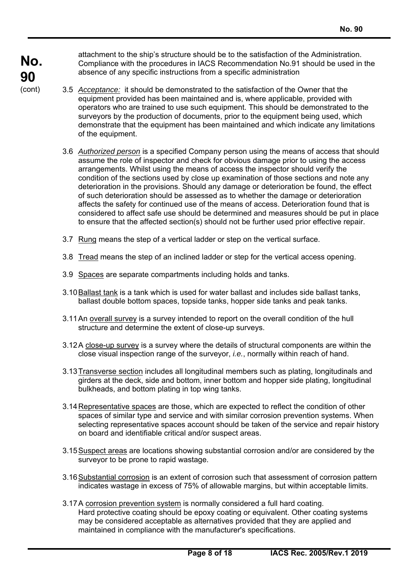attachment to the ship's structure should be to the satisfaction of the Administration. Compliance with the procedures in IACS Recommendation No.91 should be used in the absence of any specific instructions from a specific administration

- 3.5 *Acceptance:* it should be demonstrated to the satisfaction of the Owner that the equipment provided has been maintained and is, where applicable, provided with operators who are trained to use such equipment. This should be demonstrated to the surveyors by the production of documents, prior to the equipment being used, which demonstrate that the equipment has been maintained and which indicate any limitations of the equipment.
- 3.6 *Authorized person* is a specified Company person using the means of access that should assume the role of inspector and check for obvious damage prior to using the access arrangements. Whilst using the means of access the inspector should verify the condition of the sections used by close up examination of those sections and note any deterioration in the provisions. Should any damage or deterioration be found, the effect of such deterioration should be assessed as to whether the damage or deterioration affects the safety for continued use of the means of access. Deterioration found that is considered to affect safe use should be determined and measures should be put in place to ensure that the affected section(s) should not be further used prior effective repair.
- 3.7 Rung means the step of a vertical ladder or step on the vertical surface.
- 3.8 Tread means the step of an inclined ladder or step for the vertical access opening.
- 3.9 Spaces are separate compartments including holds and tanks.
- 3.10 Ballast tank is a tank which is used for water ballast and includes side ballast tanks, ballast double bottom spaces, topside tanks, hopper side tanks and peak tanks.
- 3.11 An overall survey is a survey intended to report on the overall condition of the hull structure and determine the extent of close-up surveys.
- 3.12 A close-up survey is a survey where the details of structural components are within the close visual inspection range of the surveyor, *i.e.*, normally within reach of hand.
- 3.13 Transverse section includes all longitudinal members such as plating, longitudinals and girders at the deck, side and bottom, inner bottom and hopper side plating, longitudinal bulkheads, and bottom plating in top wing tanks.
- 3.14 Representative spaces are those, which are expected to reflect the condition of other spaces of similar type and service and with similar corrosion prevention systems. When selecting representative spaces account should be taken of the service and repair history on board and identifiable critical and/or suspect areas.
- 3.15 Suspect areas are locations showing substantial corrosion and/or are considered by the surveyor to be prone to rapid wastage.
- 3.16 Substantial corrosion is an extent of corrosion such that assessment of corrosion pattern indicates wastage in excess of 75% of allowable margins, but within acceptable limits.
- 3.17 A corrosion prevention system is normally considered a full hard coating. Hard protective coating should be epoxy coating or equivalent. Other coating systems may be considered acceptable as alternatives provided that they are applied and maintained in compliance with the manufacturer's specifications.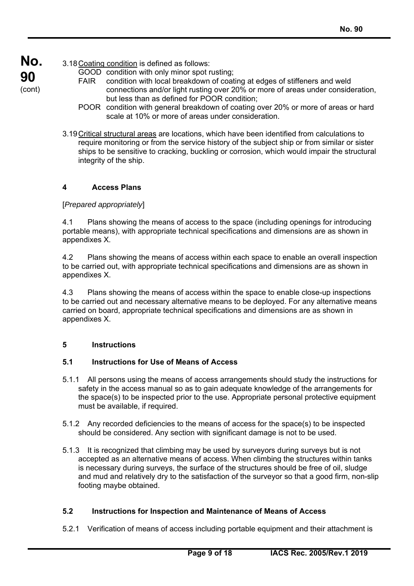**No.**  3.18 Coating condition is defined as follows:

**90**  (cont)

- GOOD condition with only minor spot rusting;
- FAIR condition with local breakdown of coating at edges of stiffeners and weld connections and/or light rusting over 20% or more of areas under consideration, but less than as defined for POOR condition;
- POOR condition with general breakdown of coating over 20% or more of areas or hard scale at 10% or more of areas under consideration.
- 3.19 Critical structural areas are locations, which have been identified from calculations to require monitoring or from the service history of the subject ship or from similar or sister ships to be sensitive to cracking, buckling or corrosion, which would impair the structural integrity of the ship.

# **4 Access Plans**

# [*Prepared appropriately*]

4.1 Plans showing the means of access to the space (including openings for introducing portable means), with appropriate technical specifications and dimensions are as shown in appendixes X.

4.2 Plans showing the means of access within each space to enable an overall inspection to be carried out, with appropriate technical specifications and dimensions are as shown in appendixes X.

4.3 Plans showing the means of access within the space to enable close-up inspections to be carried out and necessary alternative means to be deployed. For any alternative means carried on board, appropriate technical specifications and dimensions are as shown in appendixes X.

# **5 Instructions**

 $\overline{a}$ 

# **5.1 Instructions for Use of Means of Access**

- 5.1.1 All persons using the means of access arrangements should study the instructions for safety in the access manual so as to gain adequate knowledge of the arrangements for the space(s) to be inspected prior to the use. Appropriate personal protective equipment must be available, if required.
- 5.1.2 Any recorded deficiencies to the means of access for the space(s) to be inspected should be considered. Any section with significant damage is not to be used.
- 5.1.3 It is recognized that climbing may be used by surveyors during surveys but is not accepted as an alternative means of access. When climbing the structures within tanks is necessary during surveys, the surface of the structures should be free of oil, sludge and mud and relatively dry to the satisfaction of the surveyor so that a good firm, non-slip footing maybe obtained.

# **5.2 Instructions for Inspection and Maintenance of Means of Access**

5.2.1 Verification of means of access including portable equipment and their attachment is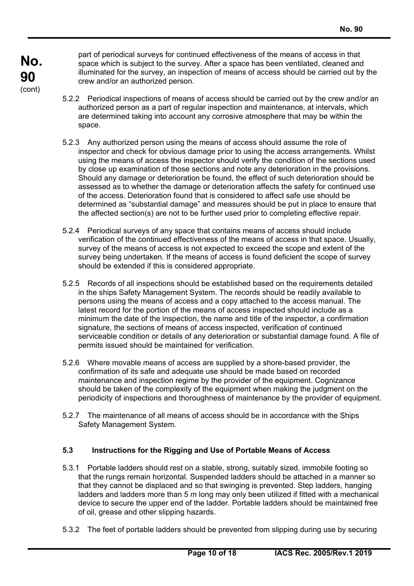part of periodical surveys for continued effectiveness of the means of access in that space which is subject to the survey. After a space has been ventilated, cleaned and illuminated for the survey, an inspection of means of access should be carried out by the crew and/or an authorized person.

- 5.2.2 Periodical inspections of means of access should be carried out by the crew and/or an authorized person as a part of regular inspection and maintenance, at intervals, which are determined taking into account any corrosive atmosphere that may be within the space.
- 5.2.3 Any authorized person using the means of access should assume the role of inspector and check for obvious damage prior to using the access arrangements. Whilst using the means of access the inspector should verify the condition of the sections used by close up examination of those sections and note any deterioration in the provisions. Should any damage or deterioration be found, the effect of such deterioration should be assessed as to whether the damage or deterioration affects the safety for continued use of the access. Deterioration found that is considered to affect safe use should be determined as "substantial damage" and measures should be put in place to ensure that the affected section(s) are not to be further used prior to completing effective repair.
- 5.2.4 Periodical surveys of any space that contains means of access should include verification of the continued effectiveness of the means of access in that space. Usually, survey of the means of access is not expected to exceed the scope and extent of the survey being undertaken. If the means of access is found deficient the scope of survey should be extended if this is considered appropriate.
- 5.2.5 Records of all inspections should be established based on the requirements detailed in the ships Safety Management System. The records should be readily available to persons using the means of access and a copy attached to the access manual. The latest record for the portion of the means of access inspected should include as a minimum the date of the inspection, the name and title of the inspector, a confirmation signature, the sections of means of access inspected, verification of continued serviceable condition or details of any deterioration or substantial damage found. A file of permits issued should be maintained for verification.
- 5.2.6 Where movable means of access are supplied by a shore-based provider, the confirmation of its safe and adequate use should be made based on recorded maintenance and inspection regime by the provider of the equipment. Cognizance should be taken of the complexity of the equipment when making the judgment on the periodicity of inspections and thoroughness of maintenance by the provider of equipment.
- 5.2.7 The maintenance of all means of access should be in accordance with the Ships Safety Management System.

# **5.3 Instructions for the Rigging and Use of Portable Means of Access**

- 5.3.1 Portable ladders should rest on a stable, strong, suitably sized, immobile footing so that the rungs remain horizontal. Suspended ladders should be attached in a manner so that they cannot be displaced and so that swinging is prevented. Step ladders, hanging ladders and ladders more than 5 *m* long may only been utilized if fitted with a mechanical device to secure the upper end of the ladder. Portable ladders should be maintained free of oil, grease and other slipping hazards.
- 5.3.2 The feet of portable ladders should be prevented from slipping during use by securing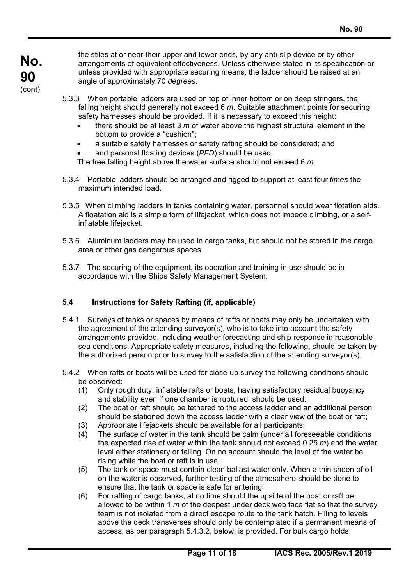the stiles at or near their upper and lower ends, by any anti-slip device or by other arrangements of equivalent effectiveness. Unless otherwise stated in its specification or unless provided with appropriate securing means, the ladder should be raised at an angle of approximately 70 *degrees*.

- 5.3.3 When portable ladders are used on top of inner bottom or on deep stringers, the falling height should generally not exceed 6 *m*. Suitable attachment points for securing safety harnesses should be provided. If it is necessary to exceed this height:
	- there should be at least 3 *m* of water above the highest structural element in the bottom to provide a "cushion";
	- a suitable safety harnesses or safety rafting should be considered; and
	- and personal floating devices (*PFD*) should be used.

The free falling height above the water surface should not exceed 6 *m*.

- 5.3.4 Portable ladders should be arranged and rigged to support at least four *times* the maximum intended load.
- 5.3.5 When climbing ladders in tanks containing water, personnel should wear flotation aids. A floatation aid is a simple form of lifejacket, which does not impede climbing, or a selfinflatable lifejacket.
- 5.3.6 Aluminum ladders may be used in cargo tanks, but should not be stored in the cargo area or other gas dangerous spaces.
- 5.3.7 The securing of the equipment, its operation and training in use should be in accordance with the Ships Safety Management System.

# **5.4 Instructions for Safety Rafting (if, applicable)**

- 5.4.1 Surveys of tanks or spaces by means of rafts or boats may only be undertaken with the agreement of the attending surveyor(s), who is to take into account the safety arrangements provided, including weather forecasting and ship response in reasonable sea conditions. Appropriate safety measures, including the following, should be taken by the authorized person prior to survey to the satisfaction of the attending surveyor(s).
- 5.4.2 When rafts or boats will be used for close-up survey the following conditions should be observed:
	- (1) Only rough duty, inflatable rafts or boats, having satisfactory residual buoyancy and stability even if one chamber is ruptured, should be used;
	- (2) The boat or raft should be tethered to the access ladder and an additional person should be stationed down the access ladder with a clear view of the boat or raft;
	- (3) Appropriate lifejackets should be available for all participants;
	- (4) The surface of water in the tank should be calm (under all foreseeable conditions the expected rise of water within the tank should not exceed 0.25 *m*) and the water level either stationary or falling. On no account should the level of the water be rising while the boat or raft is in use;
	- (5) The tank or space must contain clean ballast water only. When a thin sheen of oil on the water is observed, further testing of the atmosphere should be done to ensure that the tank or space is safe for entering;
	- (6) For rafting of cargo tanks, at no time should the upside of the boat or raft be allowed to be within 1 *m* of the deepest under deck web face flat so that the survey team is not isolated from a direct escape route to the tank hatch. Filling to levels above the deck transverses should only be contemplated if a permanent means of access, as per paragraph 5.4.3.2, below, is provided. For bulk cargo holds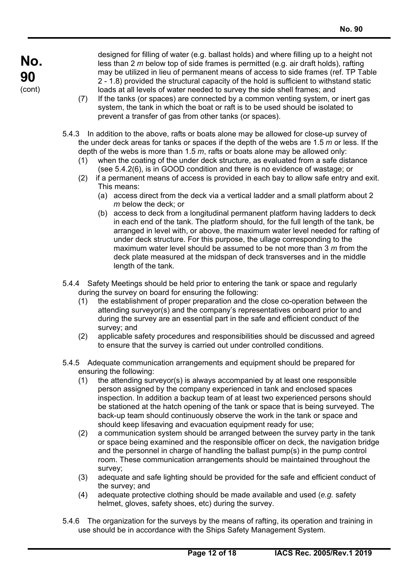$\overline{a}$ 

designed for filling of water (e.g. ballast holds) and where filling up to a height not less than 2 *m* below top of side frames is permitted (e.g. air draft holds), rafting may be utilized in lieu of permanent means of access to side frames (ref. TP Table 2 - 1.8) provided the structural capacity of the hold is sufficient to withstand static loads at all levels of water needed to survey the side shell frames; and

- (7) If the tanks (or spaces) are connected by a common venting system, or inert gas system, the tank in which the boat or raft is to be used should be isolated to prevent a transfer of gas from other tanks (or spaces).
- 5.4.3 In addition to the above, rafts or boats alone may be allowed for close-up survey of the under deck areas for tanks or spaces if the depth of the webs are 1.5 *m* or less. If the depth of the webs is more than 1.5 *m*, rafts or boats alone may be allowed only:
	- (1) when the coating of the under deck structure, as evaluated from a safe distance (see 5.4.2(6), is in GOOD condition and there is no evidence of wastage; or
	- (2) if a permanent means of access is provided in each bay to allow safe entry and exit. This means:
		- (a) access direct from the deck via a vertical ladder and a small platform about 2 *m* below the deck; or
		- (b) access to deck from a longitudinal permanent platform having ladders to deck in each end of the tank. The platform should, for the full length of the tank, be arranged in level with, or above, the maximum water level needed for rafting of under deck structure. For this purpose, the ullage corresponding to the maximum water level should be assumed to be not more than 3 *m* from the deck plate measured at the midspan of deck transverses and in the middle length of the tank.
- 5.4.4 Safety Meetings should be held prior to entering the tank or space and regularly during the survey on board for ensuring the following:
	- (1) the establishment of proper preparation and the close co-operation between the attending surveyor(s) and the company's representatives onboard prior to and during the survey are an essential part in the safe and efficient conduct of the survey; and
	- (2) applicable safety procedures and responsibilities should be discussed and agreed to ensure that the survey is carried out under controlled conditions.
- 5.4.5 Adequate communication arrangements and equipment should be prepared for ensuring the following:
	- (1) the attending surveyor(s) is always accompanied by at least one responsible person assigned by the company experienced in tank and enclosed spaces inspection. In addition a backup team of at least two experienced persons should be stationed at the hatch opening of the tank or space that is being surveyed. The back-up team should continuously observe the work in the tank or space and should keep lifesaving and evacuation equipment ready for use;
	- (2) a communication system should be arranged between the survey party in the tank or space being examined and the responsible officer on deck, the navigation bridge and the personnel in charge of handling the ballast pump(s) in the pump control room. These communication arrangements should be maintained throughout the survey;
	- (3) adequate and safe lighting should be provided for the safe and efficient conduct of the survey; and
	- (4) adequate protective clothing should be made available and used (*e.g.* safety helmet, gloves, safety shoes, etc) during the survey.
- 5.4.6 The organization for the surveys by the means of rafting, its operation and training in use should be in accordance with the Ships Safety Management System.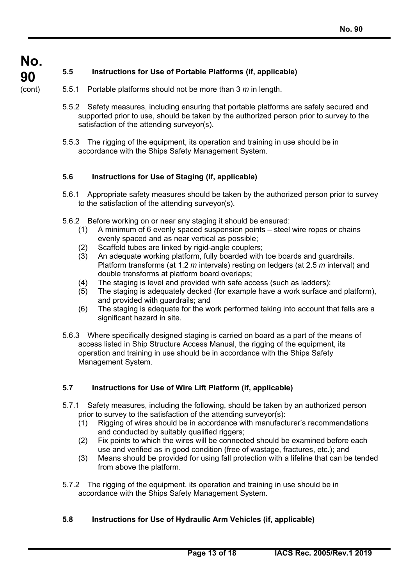$\overline{a}$ 

# **5.5 Instructions for Use of Portable Platforms (if, applicable)**

- 5.5.1 Portable platforms should not be more than 3 *m* in length.
- 5.5.2 Safety measures, including ensuring that portable platforms are safely secured and supported prior to use, should be taken by the authorized person prior to survey to the satisfaction of the attending surveyor(s).
- 5.5.3 The rigging of the equipment, its operation and training in use should be in accordance with the Ships Safety Management System.

# **5.6 Instructions for Use of Staging (if, applicable)**

- 5.6.1 Appropriate safety measures should be taken by the authorized person prior to survey to the satisfaction of the attending surveyor(s).
- 5.6.2 Before working on or near any staging it should be ensured:
	- (1) A minimum of 6 evenly spaced suspension points steel wire ropes or chains evenly spaced and as near vertical as possible;
	- (2) Scaffold tubes are linked by rigid-angle couplers;
	- (3) An adequate working platform, fully boarded with toe boards and guardrails. Platform transforms (at 1.2 *m* intervals) resting on ledgers (at 2.5 *m* interval) and double transforms at platform board overlaps;
	- (4) The staging is level and provided with safe access (such as ladders);
	- (5) The staging is adequately decked (for example have a work surface and platform), and provided with guardrails; and
	- (6) The staging is adequate for the work performed taking into account that falls are a significant hazard in site.
- 5.6.3 Where specifically designed staging is carried on board as a part of the means of access listed in Ship Structure Access Manual, the rigging of the equipment, its operation and training in use should be in accordance with the Ships Safety Management System.

# **5.7 Instructions for Use of Wire Lift Platform (if, applicable)**

- 5.7.1 Safety measures, including the following, should be taken by an authorized person prior to survey to the satisfaction of the attending surveyor(s):
	- (1) Rigging of wires should be in accordance with manufacturer's recommendations and conducted by suitably qualified riggers;
	- (2) Fix points to which the wires will be connected should be examined before each use and verified as in good condition (free of wastage, fractures, etc.); and
	- (3) Means should be provided for using fall protection with a lifeline that can be tended from above the platform.
- 5.7.2 The rigging of the equipment, its operation and training in use should be in accordance with the Ships Safety Management System.

# **5.8 Instructions for Use of Hydraulic Arm Vehicles (if, applicable)**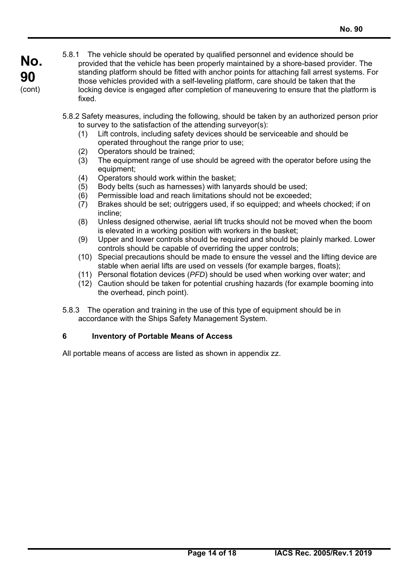$\overline{a}$ 

- 5.8.1 The vehicle should be operated by qualified personnel and evidence should be provided that the vehicle has been properly maintained by a shore-based provider. The standing platform should be fitted with anchor points for attaching fall arrest systems. For those vehicles provided with a self-leveling platform, care should be taken that the locking device is engaged after completion of maneuvering to ensure that the platform is fixed.
- 5.8.2 Safety measures, including the following, should be taken by an authorized person prior to survey to the satisfaction of the attending surveyor(s):
	- (1) Lift controls, including safety devices should be serviceable and should be operated throughout the range prior to use;
	- (2) Operators should be trained;
	- (3) The equipment range of use should be agreed with the operator before using the equipment;
	- (4) Operators should work within the basket;
	- (5) Body belts (such as harnesses) with lanyards should be used;
	- (6) Permissible load and reach limitations should not be exceeded;
	- (7) Brakes should be set; outriggers used, if so equipped; and wheels chocked; if on incline;
	- (8) Unless designed otherwise, aerial lift trucks should not be moved when the boom is elevated in a working position with workers in the basket;
	- (9) Upper and lower controls should be required and should be plainly marked. Lower controls should be capable of overriding the upper controls;
	- (10) Special precautions should be made to ensure the vessel and the lifting device are stable when aerial lifts are used on vessels (for example barges, floats);
	- (11) Personal flotation devices (*PFD*) should be used when working over water; and
	- (12) Caution should be taken for potential crushing hazards (for example booming into the overhead, pinch point).
- 5.8.3 The operation and training in the use of this type of equipment should be in accordance with the Ships Safety Management System.

# **6 Inventory of Portable Means of Access**

All portable means of access are listed as shown in appendix zz.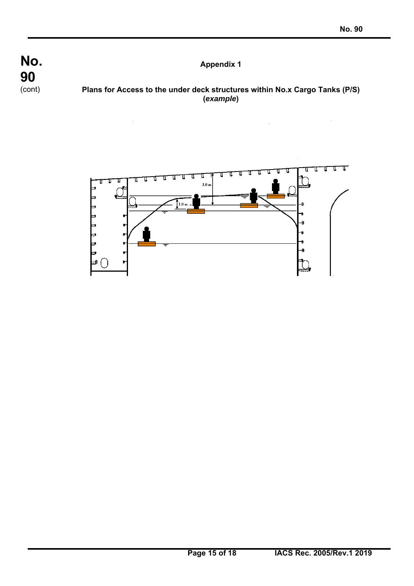$\overline{a}$ 



# **Plans for Access to the under deck structures within No.x Cargo Tanks (P/S) (***example***)**

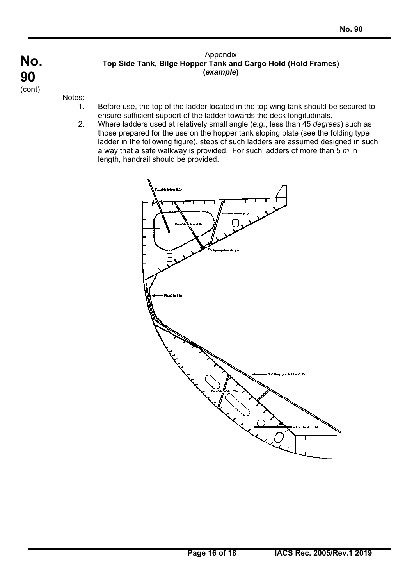Notes:

 $\overline{a}$ 

1. Before use, the top of the ladder located in the top wing tank should be secured to ensure sufficient support of the ladder towards the deck longitudinals.

Appendix **Top Side Tank, Bilge Hopper Tank and Cargo Hold (Hold Frames) (***example***)** 

2. Where ladders used at relatively small angle (*e.g.*, less than 45 *degrees*) such as those prepared for the use on the hopper tank sloping plate (see the folding type ladder in the following figure), steps of such ladders are assumed designed in such a way that a safe walkway is provided. For such ladders of more than 5 *m* in length, handrail should be provided.

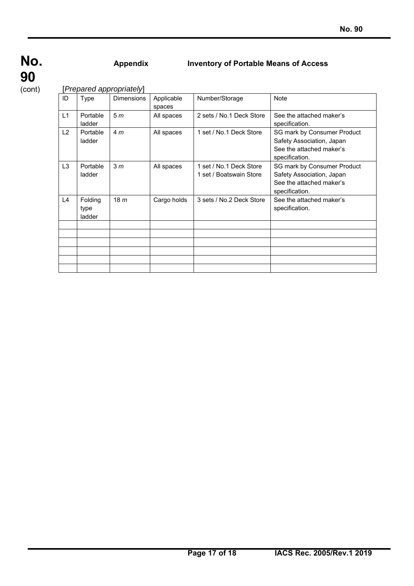$\overline{a}$ 

# **Appendix Inventory of Portable Means of Access**

[*Prepared appropriately*]

| ID             | Type                      | <b>Dimensions</b> | Applicable<br>spaces | Number/Storage                                     | <b>Note</b>                                                                                            |  |
|----------------|---------------------------|-------------------|----------------------|----------------------------------------------------|--------------------------------------------------------------------------------------------------------|--|
| L1             | Portable<br>ladder        | 5 <sub>m</sub>    | All spaces           | 2 sets / No.1 Deck Store                           | See the attached maker's<br>specification.                                                             |  |
| L2             | Portable<br>ladder        | 4 <sub>m</sub>    | All spaces           | 1 set / No.1 Deck Store                            | SG mark by Consumer Product<br>Safety Association, Japan<br>See the attached maker's<br>specification. |  |
| L <sub>3</sub> | Portable<br>ladder        | 3 <sub>m</sub>    | All spaces           | 1 set / No.1 Deck Store<br>1 set / Boatswain Store | SG mark by Consumer Product<br>Safety Association, Japan<br>See the attached maker's<br>specification. |  |
| L4             | Folding<br>type<br>ladder | 18 <sub>m</sub>   | Cargo holds          | 3 sets / No.2 Deck Store                           | See the attached maker's<br>specification.                                                             |  |
|                |                           |                   |                      |                                                    |                                                                                                        |  |
|                |                           |                   |                      |                                                    |                                                                                                        |  |
|                |                           |                   |                      |                                                    |                                                                                                        |  |
|                |                           |                   |                      |                                                    |                                                                                                        |  |
|                |                           |                   |                      |                                                    |                                                                                                        |  |